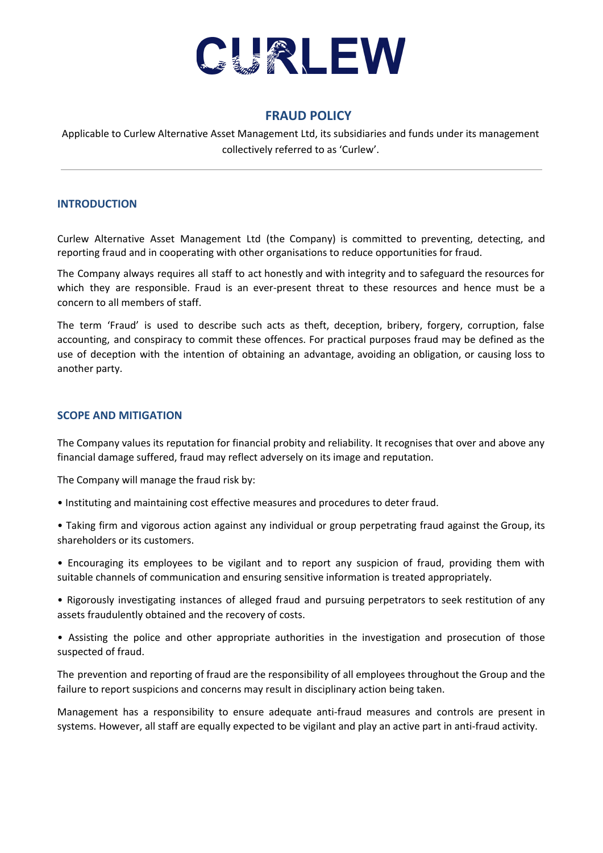

## **FRAUD POLICY**

Applicable to Curlew Alternative Asset Management Ltd, its subsidiaries and funds under its management collectively referred to as 'Curlew'.

## **INTRODUCTION**

Curlew Alternative Asset Management Ltd (the Company) is committed to preventing, detecting, and reporting fraud and in cooperating with other organisations to reduce opportunities for fraud.

The Company always requires all staff to act honestly and with integrity and to safeguard the resources for which they are responsible. Fraud is an ever-present threat to these resources and hence must be a concern to all members of staff.

The term 'Fraud' is used to describe such acts as theft, deception, bribery, forgery, corruption, false accounting, and conspiracy to commit these offences. For practical purposes fraud may be defined as the use of deception with the intention of obtaining an advantage, avoiding an obligation, or causing loss to another party.

## **SCOPE AND MITIGATION**

The Company values its reputation for financial probity and reliability. It recognises that over and above any financial damage suffered, fraud may reflect adversely on its image and reputation.

The Company will manage the fraud risk by:

- Instituting and maintaining cost effective measures and procedures to deter fraud.
- Taking firm and vigorous action against any individual or group perpetrating fraud against the Group, its shareholders or its customers.
- Encouraging its employees to be vigilant and to report any suspicion of fraud, providing them with suitable channels of communication and ensuring sensitive information is treated appropriately.
- Rigorously investigating instances of alleged fraud and pursuing perpetrators to seek restitution of any assets fraudulently obtained and the recovery of costs.
- Assisting the police and other appropriate authorities in the investigation and prosecution of those suspected of fraud.

The prevention and reporting of fraud are the responsibility of all employees throughout the Group and the failure to report suspicions and concerns may result in disciplinary action being taken.

Management has a responsibility to ensure adequate anti-fraud measures and controls are present in systems. However, all staff are equally expected to be vigilant and play an active part in anti-fraud activity.